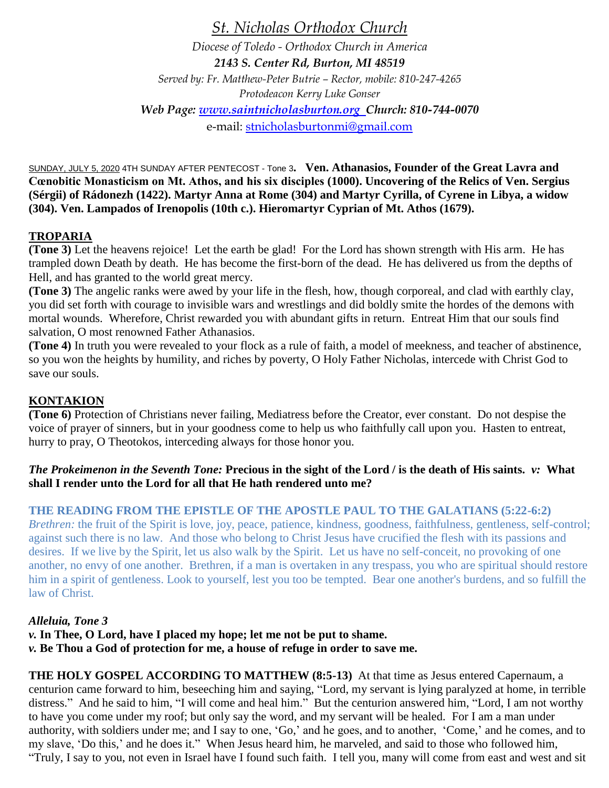*St. Nicholas Orthodox Church*

*Diocese of Toledo - Orthodox Church in America 2143 S. Center Rd, Burton, MI 48519 Served by: Fr. Matthew-Peter Butrie – Rector, mobile: 810-247-4265 Protodeacon Kerry Luke Gonser Web Page: [www.saintnicholasburton.org](http://www.saintnicholasburton.org/) Church: 810-744-0070* e-mail: [stnicholasburtonmi@gmail.com](mailto:stnicholasburtonmi@gmail.com)

SUNDAY, JULY 5, 2020 4TH SUNDAY AFTER PENTECOST - Tone 3**. Ven. Athanasios, Founder of the Great Lavra and Cœnobitic Monasticism on Mt. Athos, and his six disciples (1000). Uncovering of the Relics of Ven. Sergius (Sérgii) of Rádonezh (1422). Martyr Anna at Rome (304) and Martyr Cyrilla, of Cyrene in Libya, a widow (304). Ven. Lampados of Irenopolis (10th c.). Hieromartyr Cyprian of Mt. Athos (1679).**

### **TROPARIA**

**(Tone 3)** Let the heavens rejoice! Let the earth be glad! For the Lord has shown strength with His arm. He has trampled down Death by death. He has become the first-born of the dead. He has delivered us from the depths of Hell, and has granted to the world great mercy.

**(Tone 3)** The angelic ranks were awed by your life in the flesh, how, though corporeal, and clad with earthly clay, you did set forth with courage to invisible wars and wrestlings and did boldly smite the hordes of the demons with mortal wounds. Wherefore, Christ rewarded you with abundant gifts in return. Entreat Him that our souls find salvation, O most renowned Father Athanasios.

**(Tone 4)** In truth you were revealed to your flock as a rule of faith, a model of meekness, and teacher of abstinence, so you won the heights by humility, and riches by poverty, O Holy Father Nicholas, intercede with Christ God to save our souls.

### **KONTAKION**

**(Tone 6)** Protection of Christians never failing, Mediatress before the Creator, ever constant. Do not despise the voice of prayer of sinners, but in your goodness come to help us who faithfully call upon you. Hasten to entreat, hurry to pray, O Theotokos, interceding always for those honor you.

### *The Prokeimenon in the Seventh Tone:* **Precious in the sight of the Lord / is the death of His saints.** *v:* **What shall I render unto the Lord for all that He hath rendered unto me?**

### **THE READING FROM THE EPISTLE OF THE APOSTLE PAUL TO THE GALATIANS (5:22-6:2)**

*Brethren:* the fruit of the Spirit is love, joy, peace, patience, kindness, goodness, faithfulness, gentleness, self-control; against such there is no law. And those who belong to Christ Jesus have crucified the flesh with its passions and desires. If we live by the Spirit, let us also walk by the Spirit. Let us have no self-conceit, no provoking of one another, no envy of one another. Brethren, if a man is overtaken in any trespass, you who are spiritual should restore him in a spirit of gentleness. Look to yourself, lest you too be tempted. Bear one another's burdens, and so fulfill the law of Christ.

### *Alleluia, Tone 3*

*v.* **In Thee, O Lord, have I placed my hope; let me not be put to shame.**

*v.* **Be Thou a God of protection for me, a house of refuge in order to save me.**

**THE HOLY GOSPEL ACCORDING TO MATTHEW (8:5-13)** At that time as Jesus entered Capernaum, a centurion came forward to him, beseeching him and saying, "Lord, my servant is lying paralyzed at home, in terrible distress." And he said to him, "I will come and heal him." But the centurion answered him, "Lord, I am not worthy to have you come under my roof; but only say the word, and my servant will be healed. For I am a man under authority, with soldiers under me; and I say to one, 'Go,' and he goes, and to another, 'Come,' and he comes, and to my slave, 'Do this,' and he does it." When Jesus heard him, he marveled, and said to those who followed him, "Truly, I say to you, not even in Israel have I found such faith. I tell you, many will come from east and west and sit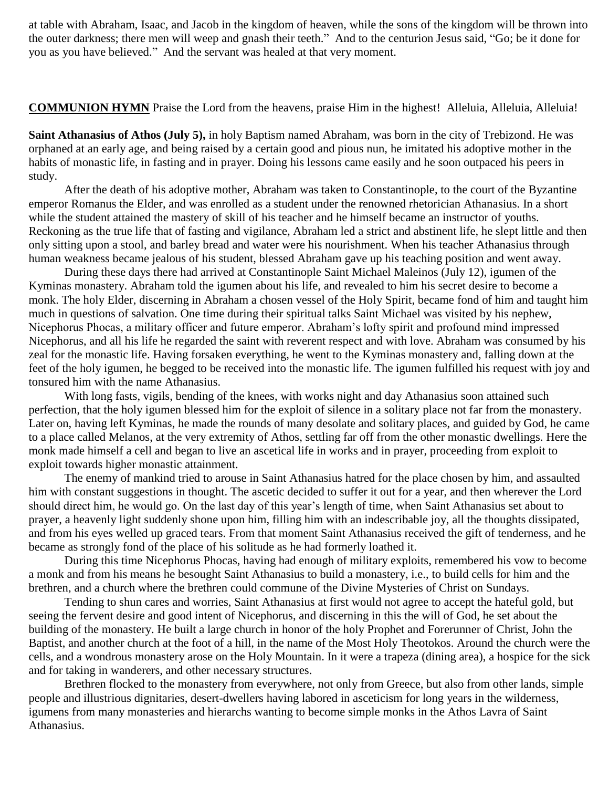at table with Abraham, Isaac, and Jacob in the kingdom of heaven, while the sons of the kingdom will be thrown into the outer darkness; there men will weep and gnash their teeth." And to the centurion Jesus said, "Go; be it done for you as you have believed." And the servant was healed at that very moment.

**COMMUNION HYMN** Praise the Lord from the heavens, praise Him in the highest! Alleluia, Alleluia, Alleluia!

**Saint Athanasius of Athos (July 5),** in holy Baptism named Abraham, was born in the city of Trebizond. He was orphaned at an early age, and being raised by a certain good and pious nun, he imitated his adoptive mother in the habits of monastic life, in fasting and in prayer. Doing his lessons came easily and he soon outpaced his peers in study.

After the death of his adoptive mother, Abraham was taken to Constantinople, to the court of the Byzantine emperor Romanus the Elder, and was enrolled as a student under the renowned rhetorician Athanasius. In a short while the student attained the mastery of skill of his teacher and he himself became an instructor of youths. Reckoning as the true life that of fasting and vigilance, Abraham led a strict and abstinent life, he slept little and then only sitting upon a stool, and barley bread and water were his nourishment. When his teacher Athanasius through human weakness became jealous of his student, blessed Abraham gave up his teaching position and went away.

During these days there had arrived at Constantinople Saint Michael Maleinos (July 12), igumen of the Kyminas monastery. Abraham told the igumen about his life, and revealed to him his secret desire to become a monk. The holy Elder, discerning in Abraham a chosen vessel of the Holy Spirit, became fond of him and taught him much in questions of salvation. One time during their spiritual talks Saint Michael was visited by his nephew, Nicephorus Phocas, a military officer and future emperor. Abraham's lofty spirit and profound mind impressed Nicephorus, and all his life he regarded the saint with reverent respect and with love. Abraham was consumed by his zeal for the monastic life. Having forsaken everything, he went to the Kyminas monastery and, falling down at the feet of the holy igumen, he begged to be received into the monastic life. The igumen fulfilled his request with joy and tonsured him with the name Athanasius.

With long fasts, vigils, bending of the knees, with works night and day Athanasius soon attained such perfection, that the holy igumen blessed him for the exploit of silence in a solitary place not far from the monastery. Later on, having left Kyminas, he made the rounds of many desolate and solitary places, and guided by God, he came to a place called Melanos, at the very extremity of Athos, settling far off from the other monastic dwellings. Here the monk made himself a cell and began to live an ascetical life in works and in prayer, proceeding from exploit to exploit towards higher monastic attainment.

The enemy of mankind tried to arouse in Saint Athanasius hatred for the place chosen by him, and assaulted him with constant suggestions in thought. The ascetic decided to suffer it out for a year, and then wherever the Lord should direct him, he would go. On the last day of this year's length of time, when Saint Athanasius set about to prayer, a heavenly light suddenly shone upon him, filling him with an indescribable joy, all the thoughts dissipated, and from his eyes welled up graced tears. From that moment Saint Athanasius received the gift of tenderness, and he became as strongly fond of the place of his solitude as he had formerly loathed it.

During this time Nicephorus Phocas, having had enough of military exploits, remembered his vow to become a monk and from his means he besought Saint Athanasius to build a monastery, i.e., to build cells for him and the brethren, and a church where the brethren could commune of the Divine Mysteries of Christ on Sundays.

Tending to shun cares and worries, Saint Athanasius at first would not agree to accept the hateful gold, but seeing the fervent desire and good intent of Nicephorus, and discerning in this the will of God, he set about the building of the monastery. He built a large church in honor of the holy Prophet and Forerunner of Christ, John the Baptist, and another church at the foot of a hill, in the name of the Most Holy Theotokos. Around the church were the cells, and a wondrous monastery arose on the Holy Mountain. In it were a trapeza (dining area), a hospice for the sick and for taking in wanderers, and other necessary structures.

Brethren flocked to the monastery from everywhere, not only from Greece, but also from other lands, simple people and illustrious dignitaries, desert-dwellers having labored in asceticism for long years in the wilderness, igumens from many monasteries and hierarchs wanting to become simple monks in the Athos Lavra of Saint Athanasius.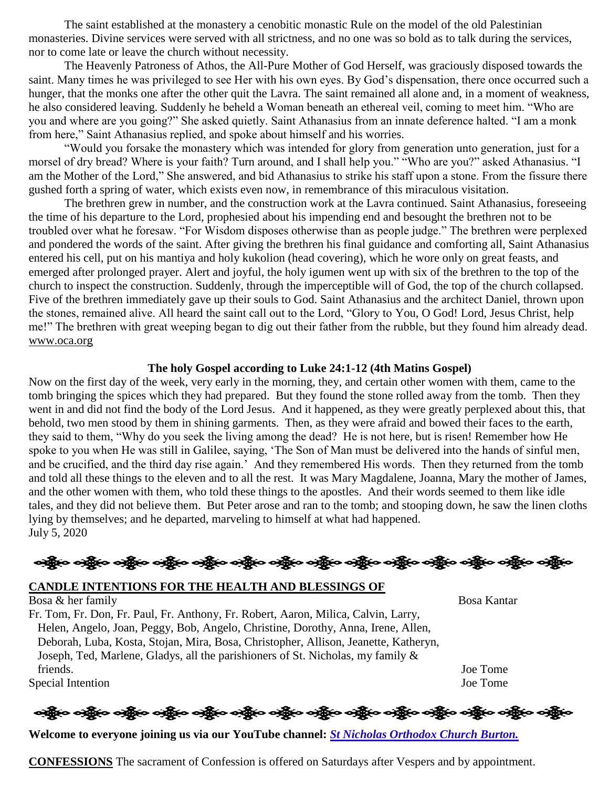The saint established at the monastery a cenobitic monastic Rule on the model of the old Palestinian monasteries. Divine services were served with all strictness, and no one was so bold as to talk during the services, nor to come late or leave the church without necessity.

The Heavenly Patroness of Athos, the All-Pure Mother of God Herself, was graciously disposed towards the saint. Many times he was privileged to see Her with his own eyes. By God's dispensation, there once occurred such a hunger, that the monks one after the other quit the Lavra. The saint remained all alone and, in a moment of weakness, he also considered leaving. Suddenly he beheld a Woman beneath an ethereal veil, coming to meet him. "Who are you and where are you going?" She asked quietly. Saint Athanasius from an innate deference halted. "I am a monk from here," Saint Athanasius replied, and spoke about himself and his worries.

"Would you forsake the monastery which was intended for glory from generation unto generation, just for a morsel of dry bread? Where is your faith? Turn around, and I shall help you." "Who are you?" asked Athanasius. "I am the Mother of the Lord," She answered, and bid Athanasius to strike his staff upon a stone. From the fissure there gushed forth a spring of water, which exists even now, in remembrance of this miraculous visitation.

The brethren grew in number, and the construction work at the Lavra continued. Saint Athanasius, foreseeing the time of his departure to the Lord, prophesied about his impending end and besought the brethren not to be troubled over what he foresaw. "For Wisdom disposes otherwise than as people judge." The brethren were perplexed and pondered the words of the saint. After giving the brethren his final guidance and comforting all, Saint Athanasius entered his cell, put on his mantiya and holy kukolion (head covering), which he wore only on great feasts, and emerged after prolonged prayer. Alert and joyful, the holy igumen went up with six of the brethren to the top of the church to inspect the construction. Suddenly, through the imperceptible will of God, the top of the church collapsed. Five of the brethren immediately gave up their souls to God. Saint Athanasius and the architect Daniel, thrown upon the stones, remained alive. All heard the saint call out to the Lord, "Glory to You, O God! Lord, Jesus Christ, help me!" The brethren with great weeping began to dig out their father from the rubble, but they found him already dead. [www.oca.org](http://www.oca.org/)

### **The holy Gospel according to Luke 24:1-12 (4th Matins Gospel)**

Now on the first day of the week, very early in the morning, they, and certain other women with them, came to the tomb bringing the spices which they had prepared. But they found the stone rolled away from the tomb. Then they went in and did not find the body of the Lord Jesus. And it happened, as they were greatly perplexed about this, that behold, two men stood by them in shining garments. Then, as they were afraid and bowed their faces to the earth, they said to them, "Why do you seek the living among the dead? He is not here, but is risen! Remember how He spoke to you when He was still in Galilee, saying, 'The Son of Man must be delivered into the hands of sinful men, and be crucified, and the third day rise again.' And they remembered His words. Then they returned from the tomb and told all these things to the eleven and to all the rest. It was Mary Magdalene, Joanna, Mary the mother of James, and the other women with them, who told these things to the apostles. And their words seemed to them like idle tales, and they did not believe them. But Peter arose and ran to the tomb; and stooping down, he saw the linen cloths lying by themselves; and he departed, marveling to himself at what had happened. July 5, 2020

ခရွို့လ ခရွို့လ ခရွိမ် တွေ့ရှိမ်း တွေ့ရှိသည့် တွေ့ရှိသည့် တွေ့ရှိသည့် တွေ့ရှိသည့် တွေ့ရှိသည့် တွေ့ရှိသည့် ပထား

### **CANDLE INTENTIONS FOR THE HEALTH AND BLESSINGS OF**

Bosa & her family Bosa Kantar Fr. Tom, Fr. Don, Fr. Paul, Fr. Anthony, Fr. Robert, Aaron, Milica, Calvin, Larry, Helen, Angelo, Joan, Peggy, Bob, Angelo, Christine, Dorothy, Anna, Irene, Allen, Deborah, Luba, Kosta, Stojan, Mira, Bosa, Christopher, Allison, Jeanette, Katheryn, Joseph, Ted, Marlene, Gladys, all the parishioners of St. Nicholas, my family & friends. Joe Tome Special Intention Joe Tome

<u>နေရွိက မရွိက မရွိက မရွိက မရွိက မရွိက မရွိက မရွိက မရွိက မရွိက မရွိက</u> မရွိက မရွိက မရွိက

**Welcome to everyone joining us via our YouTube channel:** *[St Nicholas Orthodox Church Burton.](https://www.youtube.com/channel/UC59tV-Re443z-GCoETAUvfA)* 

**CONFESSIONS** The sacrament of Confession is offered on Saturdays after Vespers and by appointment.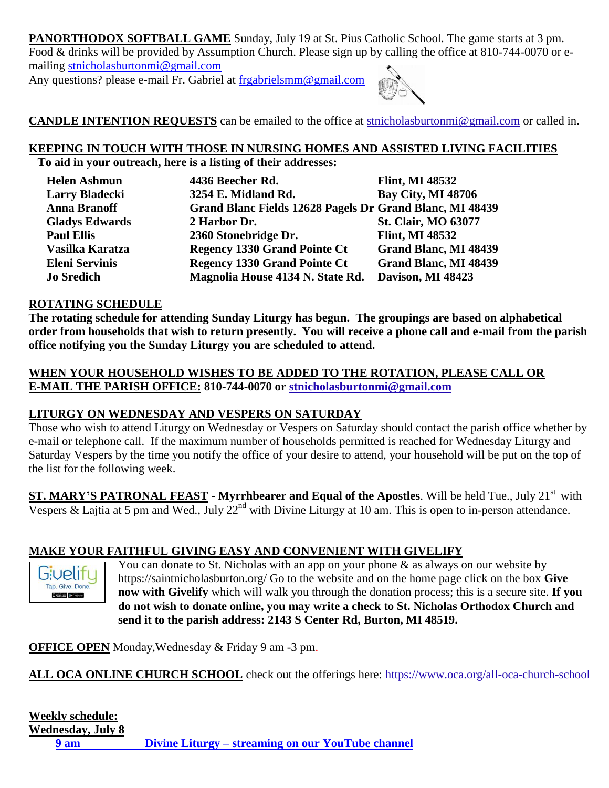**PANORTHODOX SOFTBALL GAME** Sunday, July 19 at St. Pius Catholic School. The game starts at 3 pm. Food & drinks will be provided by Assumption Church. Please sign up by calling the office at 810-744-0070 or emailing [stnicholasburtonmi@gmail.com](mailto:stnicholasburtonmi@gmail.com)

Any questions? please e-mail Fr. Gabriel at [frgabrielsmm@gmail.com](mailto:frgabrielsmm@gmail.com)



**CANDLE INTENTION REQUESTS** can be emailed to the office at [stnicholasburtonmi@gmail.com](mailto:stnicholasburtonmi@gmail.com) or called in.

# **KEEPING IN TOUCH WITH THOSE IN NURSING HOMES AND ASSISTED LIVING FACILITIES**

**To aid in your outreach, here is a listing of their addresses:**

| <b>Helen Ashmun</b>   | 4436 Beecher Rd.                                         | <b>Flint, MI 48532</b>       |
|-----------------------|----------------------------------------------------------|------------------------------|
| <b>Larry Bladecki</b> | 3254 E. Midland Rd.                                      | <b>Bay City, MI 48706</b>    |
| <b>Anna Branoff</b>   | Grand Blanc Fields 12628 Pagels Dr Grand Blanc, MI 48439 |                              |
| <b>Gladys Edwards</b> | 2 Harbor Dr.                                             | <b>St. Clair, MO 63077</b>   |
| <b>Paul Ellis</b>     | 2360 Stonebridge Dr.                                     | <b>Flint, MI 48532</b>       |
| Vasilka Karatza       | <b>Regency 1330 Grand Pointe Ct</b>                      | <b>Grand Blanc, MI 48439</b> |
| <b>Eleni Servinis</b> | <b>Regency 1330 Grand Pointe Ct</b>                      | Grand Blanc, MI 48439        |
| <b>Jo Sredich</b>     | Magnolia House 4134 N. State Rd.                         | Davison, MI 48423            |

### **ROTATING SCHEDULE**

**The rotating schedule for attending Sunday Liturgy has begun. The groupings are based on alphabetical order from households that wish to return presently. You will receive a phone call and e-mail from the parish office notifying you the Sunday Liturgy you are scheduled to attend.** 

## **WHEN YOUR HOUSEHOLD WISHES TO BE ADDED TO THE ROTATION, PLEASE CALL OR E-MAIL THE PARISH OFFICE: 810-744-0070 or [stnicholasburtonmi@gmail.com](mailto:stnicholasburtonmi@gmail.com)**

## **LITURGY ON WEDNESDAY AND VESPERS ON SATURDAY**

Those who wish to attend Liturgy on Wednesday or Vespers on Saturday should contact the parish office whether by e-mail or telephone call. If the maximum number of households permitted is reached for Wednesday Liturgy and Saturday Vespers by the time you notify the office of your desire to attend, your household will be put on the top of the list for the following week.

**ST. MARY'S PATRONAL FEAST - Myrrhbearer and Equal of the Apostles**. Will be held Tue., July 21st with Vespers & Lajtia at 5 pm and Wed., July  $22<sup>nd</sup>$  with Divine Liturgy at 10 am. This is open to in-person attendance.

## **MAKE YOUR FAITHFUL GIVING EASY AND CONVENIENT WITH GIVELIFY**

**Givelitu** Tap. Give. Done 

You can donate to St. Nicholas with an app on your phone  $\&$  as always on our website by <https://saintnicholasburton.org/> Go to the website and on the home page click on the box **Give now with Givelify** which will walk you through the donation process; this is a secure site. **If you do not wish to donate online, you may write a check to St. Nicholas Orthodox Church and send it to the parish address: 2143 S Center Rd, Burton, MI 48519.**

**OFFICE OPEN** Monday,Wednesday & Friday 9 am -3 pm.

**ALL OCA ONLINE CHURCH SCHOOL** check out the offerings here:<https://www.oca.org/all-oca-church-school>

# **Weekly schedule:**

**Wednesday, July 8 9 am Divine Liturgy – [streaming on our YouTube channel](https://youtu.be/F303ustKbDQ)**